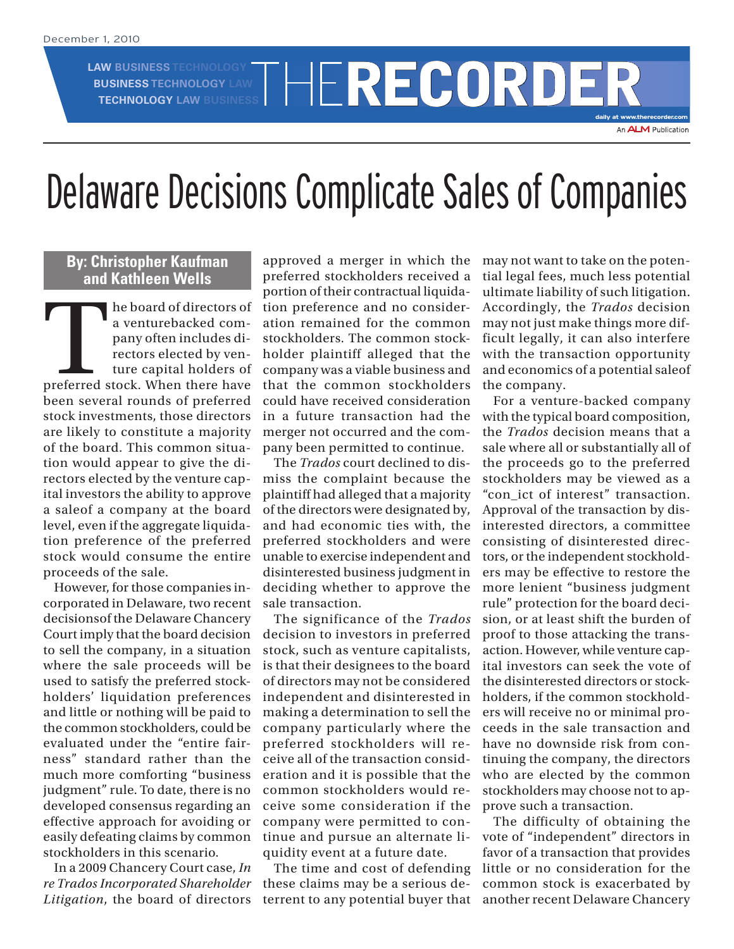**LAW BUSINESS TECHNOLOGY BUSINESS TECHNOLOGY LAW**

THERECORDE

**daily at www.therecorder.com** An **ALM** Publication

## Delaware Decisions Complicate Sales of Companies

## **By: Christopher Kaufman and Kathleen Wells**

The board of directors of<br>
a venturebacked com-<br>
pany often includes di-<br>
rectors elected by ven-<br>
ture capital holders of<br>
preferred stock. When there have a venturebacked company often includes directors elected by venture capital holders of been several rounds of preferred stock investments, those directors are likely to constitute a majority of the board. This common situation would appear to give the directors elected by the venture capital investors the ability to approve a saleof a company at the board level, even if the aggregate liquidation preference of the preferred stock would consume the entire proceeds of the sale.

However, for those companies incorporated in Delaware, two recent decisionsof the Delaware Chancery Court imply that the board decision to sell the company, in a situation where the sale proceeds will be used to satisfy the preferred stockholders' liquidation preferences and little or nothing will be paid to the common stockholders, could be evaluated under the "entire fairness" standard rather than the much more comforting "business judgment" rule. To date, there is no developed consensus regarding an effective approach for avoiding or easily defeating claims by common stockholders in this scenario.

In a 2009 Chancery Court case, *In re Trados Incorporated Shareholder Litigation*, the board of directors

approved a merger in which the preferred stockholders received a portion of their contractual liquidation preference and no consideration remained for the common stockholders. The common stockholder plaintiff alleged that the company was a viable business and that the common stockholders could have received consideration in a future transaction had the merger not occurred and the company been permitted to continue.

The *Trados* court declined to dismiss the complaint because the plaintiff had alleged that a majority of the directors were designated by, and had economic ties with, the preferred stockholders and were unable to exercise independent and disinterested business judgment in deciding whether to approve the sale transaction.

The significance of the *Trados* decision to investors in preferred stock, such as venture capitalists, is that their designees to the board of directors may not be considered independent and disinterested in making a determination to sell the company particularly where the preferred stockholders will receive all of the transaction consideration and it is possible that the common stockholders would receive some consideration if the company were permitted to continue and pursue an alternate liquidity event at a future date.

The time and cost of defending these claims may be a serious deterrent to any potential buyer that may not want to take on the potential legal fees, much less potential ultimate liability of such litigation. Accordingly, the *Trados* decision may not just make things more difficult legally, it can also interfere with the transaction opportunity and economics of a potential saleof the company.

For a venture-backed company with the typical board composition, the *Trados* decision means that a sale where all or substantially all of the proceeds go to the preferred stockholders may be viewed as a "con\_ict of interest" transaction. Approval of the transaction by disinterested directors, a committee consisting of disinterested directors, or the independent stockholders may be effective to restore the more lenient "business judgment rule" protection for the board decision, or at least shift the burden of proof to those attacking the transaction. However, while venture capital investors can seek the vote of the disinterested directors or stockholders, if the common stockholders will receive no or minimal proceeds in the sale transaction and have no downside risk from continuing the company, the directors who are elected by the common stockholders may choose not to approve such a transaction.

The difficulty of obtaining the vote of "independent" directors in favor of a transaction that provides little or no consideration for the common stock is exacerbated by another recent Delaware Chancery